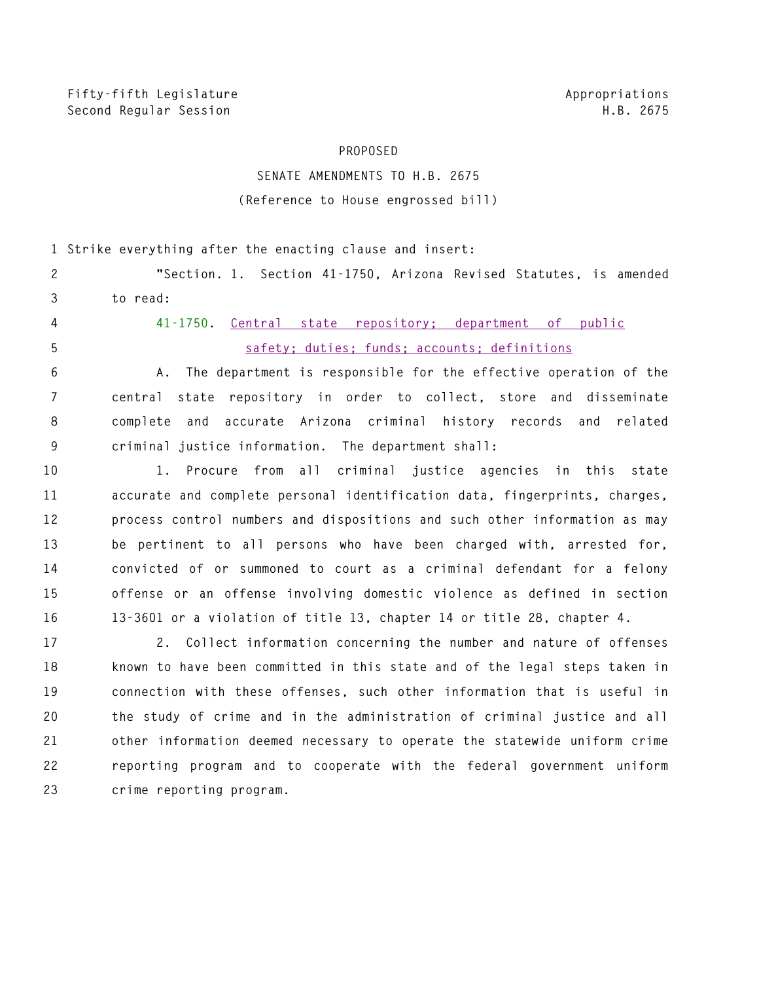## **PROPOSED**

## **SENATE AMENDMENTS TO H.B. 2675 (Reference to House engrossed bill)**

**1 Strike everything after the enacting clause and insert:** 

**2 "Section. 1. Section 41-1750, Arizona Revised Statutes, is amended 3 to read:** 

- 
- 

**4 41-1750. Central state repository; department of public 5 safety; duties; funds; accounts; definitions**

**6 A. The department is responsible for the effective operation of the 7 central state repository in order to collect, store and disseminate 8 complete and accurate Arizona criminal history records and related 9 criminal justice information. The department shall:** 

**10 1. Procure from all criminal justice agencies in this state 11 accurate and complete personal identification data, fingerprints, charges, 12 process control numbers and dispositions and such other information as may 13 be pertinent to all persons who have been charged with, arrested for, 14 convicted of or summoned to court as a criminal defendant for a felony 15 offense or an offense involving domestic violence as defined in section 16 13-3601 or a violation of title 13, chapter 14 or title 28, chapter 4.** 

**17 2. Collect information concerning the number and nature of offenses 18 known to have been committed in this state and of the legal steps taken in 19 connection with these offenses, such other information that is useful in 20 the study of crime and in the administration of criminal justice and all 21 other information deemed necessary to operate the statewide uniform crime 22 reporting program and to cooperate with the federal government uniform 23 crime reporting program.**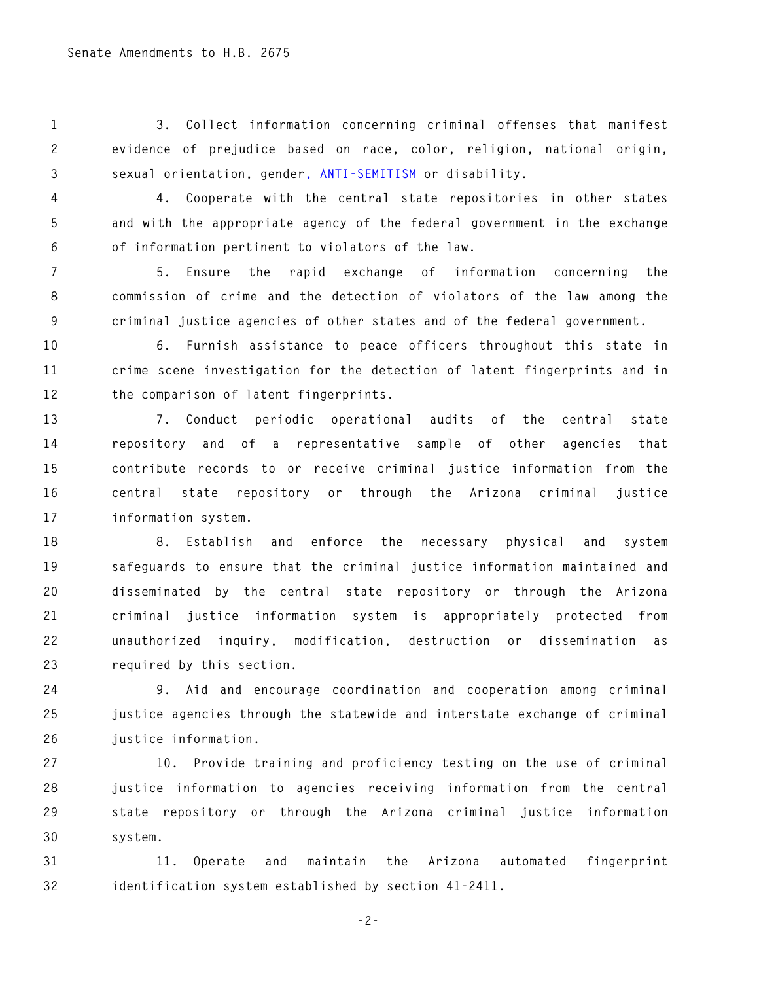**1 3. Collect information concerning criminal offenses that manifest 2 evidence of prejudice based on race, color, religion, national origin, 3 sexual orientation, gender, ANTI-SEMITISM or disability.** 

**4 4. Cooperate with the central state repositories in other states 5 and with the appropriate agency of the federal government in the exchange 6 of information pertinent to violators of the law.** 

**7 5. Ensure the rapid exchange of information concerning the 8 commission of crime and the detection of violators of the law among the 9 criminal justice agencies of other states and of the federal government.** 

**10 6. Furnish assistance to peace officers throughout this state in 11 crime scene investigation for the detection of latent fingerprints and in 12 the comparison of latent fingerprints.** 

**13 7. Conduct periodic operational audits of the central state 14 repository and of a representative sample of other agencies that 15 contribute records to or receive criminal justice information from the 16 central state repository or through the Arizona criminal justice 17 information system.** 

**18 8. Establish and enforce the necessary physical and system 19 safeguards to ensure that the criminal justice information maintained and 20 disseminated by the central state repository or through the Arizona 21 criminal justice information system is appropriately protected from 22 unauthorized inquiry, modification, destruction or dissemination as 23 required by this section.** 

**24 9. Aid and encourage coordination and cooperation among criminal 25 justice agencies through the statewide and interstate exchange of criminal 26 justice information.** 

**27 10. Provide training and proficiency testing on the use of criminal 28 justice information to agencies receiving information from the central 29 state repository or through the Arizona criminal justice information 30 system.** 

**31 11. Operate and maintain the Arizona automated fingerprint 32 identification system established by section 41-2411.** 

**-2-**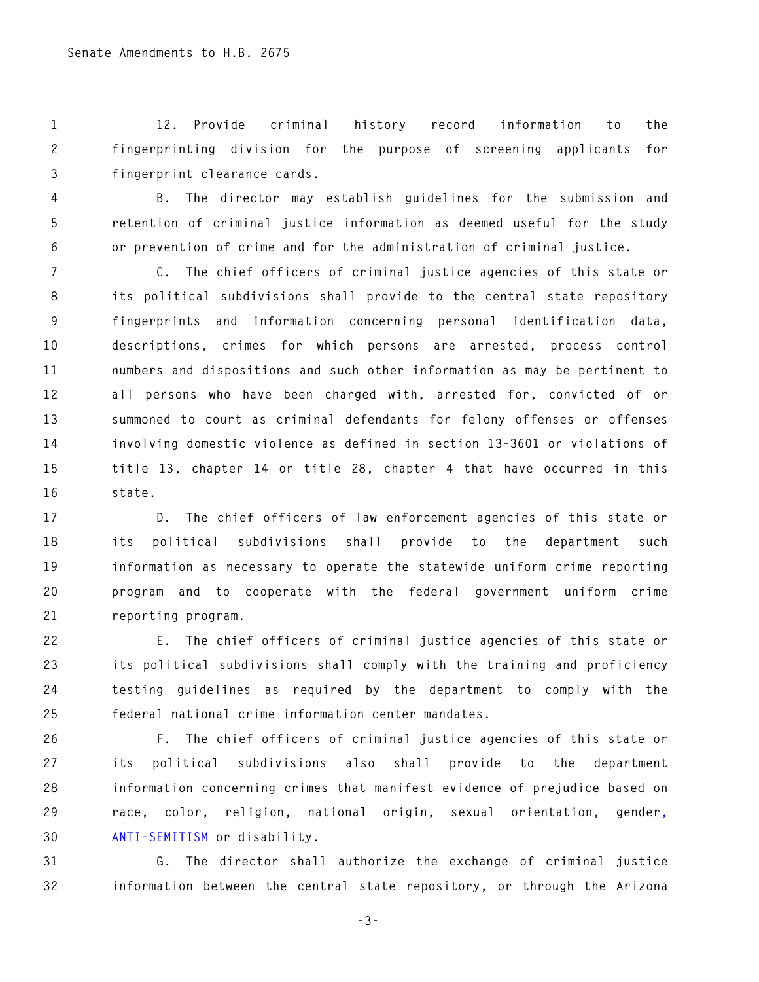**1 12. Provide criminal history record information to the 2 fingerprinting division for the purpose of screening applicants for 3 fingerprint clearance cards.** 

**4 B. The director may establish guidelines for the submission and 5 retention of criminal justice information as deemed useful for the study 6 or prevention of crime and for the administration of criminal justice.** 

**7 C. The chief officers of criminal justice agencies of this state or 8 its political subdivisions shall provide to the central state repository 9 fingerprints and information concerning personal identification data, 10 descriptions, crimes for which persons are arrested, process control 11 numbers and dispositions and such other information as may be pertinent to 12 all persons who have been charged with, arrested for, convicted of or 13 summoned to court as criminal defendants for felony offenses or offenses 14 involving domestic violence as defined in section 13-3601 or violations of 15 title 13, chapter 14 or title 28, chapter 4 that have occurred in this 16 state.** 

**17 D. The chief officers of law enforcement agencies of this state or 18 its political subdivisions shall provide to the department such 19 information as necessary to operate the statewide uniform crime reporting 20 program and to cooperate with the federal government uniform crime 21 reporting program.** 

**22 E. The chief officers of criminal justice agencies of this state or 23 its political subdivisions shall comply with the training and proficiency 24 testing guidelines as required by the department to comply with the 25 federal national crime information center mandates.** 

**26 F. The chief officers of criminal justice agencies of this state or 27 its political subdivisions also shall provide to the department 28 information concerning crimes that manifest evidence of prejudice based on 29 race, color, religion, national origin, sexual orientation, gender, 30 ANTI-SEMITISM or disability.** 

**31 G. The director shall authorize the exchange of criminal justice 32 information between the central state repository, or through the Arizona** 

**-3-**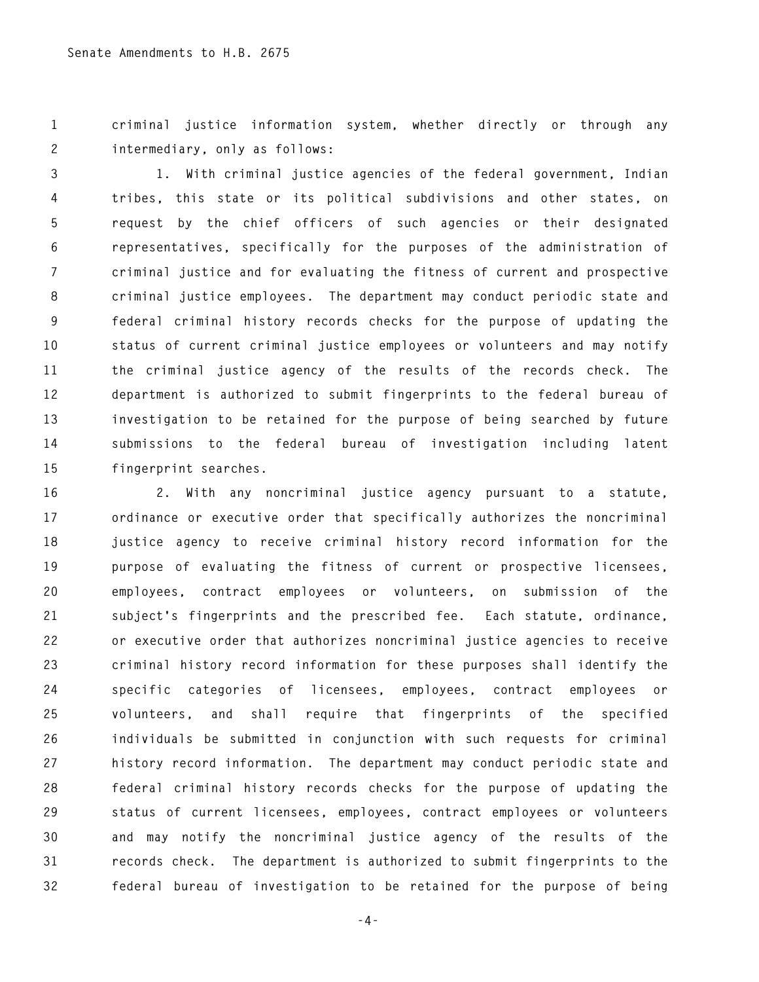**1 criminal justice information system, whether directly or through any 2 intermediary, only as follows:** 

**3 1. With criminal justice agencies of the federal government, Indian 4 tribes, this state or its political subdivisions and other states, on 5 request by the chief officers of such agencies or their designated 6 representatives, specifically for the purposes of the administration of 7 criminal justice and for evaluating the fitness of current and prospective 8 criminal justice employees. The department may conduct periodic state and 9 federal criminal history records checks for the purpose of updating the 10 status of current criminal justice employees or volunteers and may notify 11 the criminal justice agency of the results of the records check. The 12 department is authorized to submit fingerprints to the federal bureau of 13 investigation to be retained for the purpose of being searched by future 14 submissions to the federal bureau of investigation including latent 15 fingerprint searches.** 

**16 2. With any noncriminal justice agency pursuant to a statute, 17 ordinance or executive order that specifically authorizes the noncriminal 18 justice agency to receive criminal history record information for the 19 purpose of evaluating the fitness of current or prospective licensees, 20 employees, contract employees or volunteers, on submission of the 21 subject's fingerprints and the prescribed fee. Each statute, ordinance, 22 or executive order that authorizes noncriminal justice agencies to receive 23 criminal history record information for these purposes shall identify the 24 specific categories of licensees, employees, contract employees or 25 volunteers, and shall require that fingerprints of the specified 26 individuals be submitted in conjunction with such requests for criminal 27 history record information. The department may conduct periodic state and 28 federal criminal history records checks for the purpose of updating the 29 status of current licensees, employees, contract employees or volunteers 30 and may notify the noncriminal justice agency of the results of the 31 records check. The department is authorized to submit fingerprints to the 32 federal bureau of investigation to be retained for the purpose of being** 

**-4-**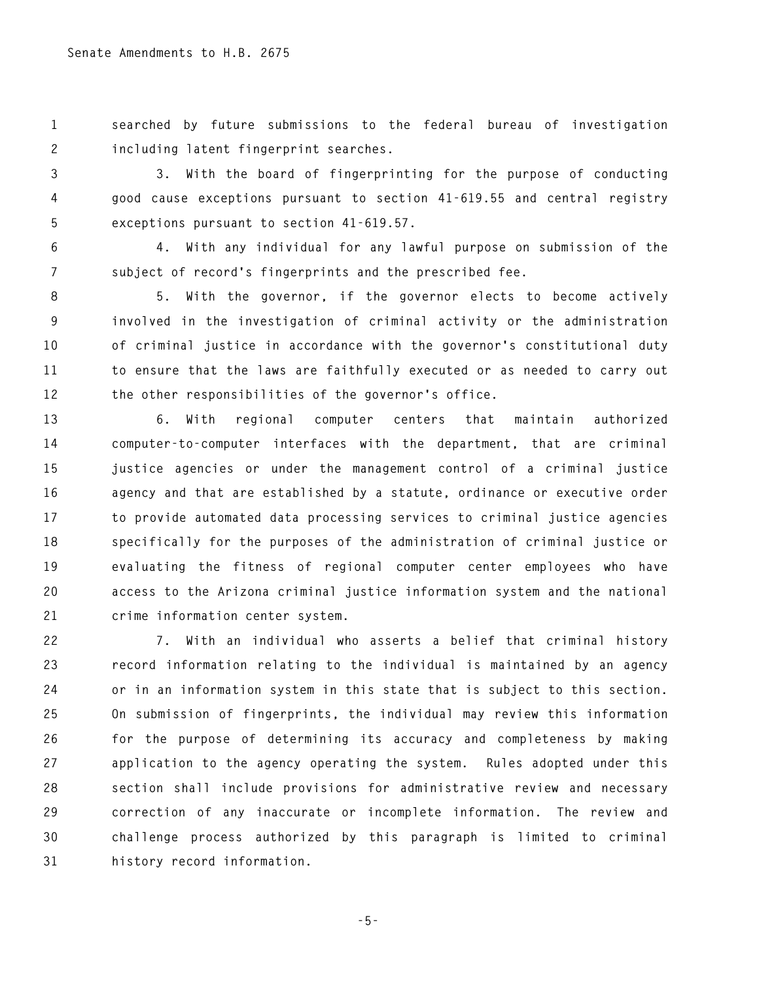**1 searched by future submissions to the federal bureau of investigation 2 including latent fingerprint searches.** 

**3 3. With the board of fingerprinting for the purpose of conducting 4 good cause exceptions pursuant to section 41-619.55 and central registry 5 exceptions pursuant to section 41-619.57.** 

**6 4. With any individual for any lawful purpose on submission of the 7 subject of record's fingerprints and the prescribed fee.** 

**8 5. With the governor, if the governor elects to become actively 9 involved in the investigation of criminal activity or the administration 10 of criminal justice in accordance with the governor's constitutional duty 11 to ensure that the laws are faithfully executed or as needed to carry out 12 the other responsibilities of the governor's office.** 

**13 6. With regional computer centers that maintain authorized 14 computer-to-computer interfaces with the department, that are criminal 15 justice agencies or under the management control of a criminal justice 16 agency and that are established by a statute, ordinance or executive order 17 to provide automated data processing services to criminal justice agencies 18 specifically for the purposes of the administration of criminal justice or 19 evaluating the fitness of regional computer center employees who have 20 access to the Arizona criminal justice information system and the national 21 crime information center system.** 

**22 7. With an individual who asserts a belief that criminal history 23 record information relating to the individual is maintained by an agency 24 or in an information system in this state that is subject to this section. 25 On submission of fingerprints, the individual may review this information 26 for the purpose of determining its accuracy and completeness by making 27 application to the agency operating the system. Rules adopted under this 28 section shall include provisions for administrative review and necessary 29 correction of any inaccurate or incomplete information. The review and 30 challenge process authorized by this paragraph is limited to criminal 31 history record information.** 

**-5-**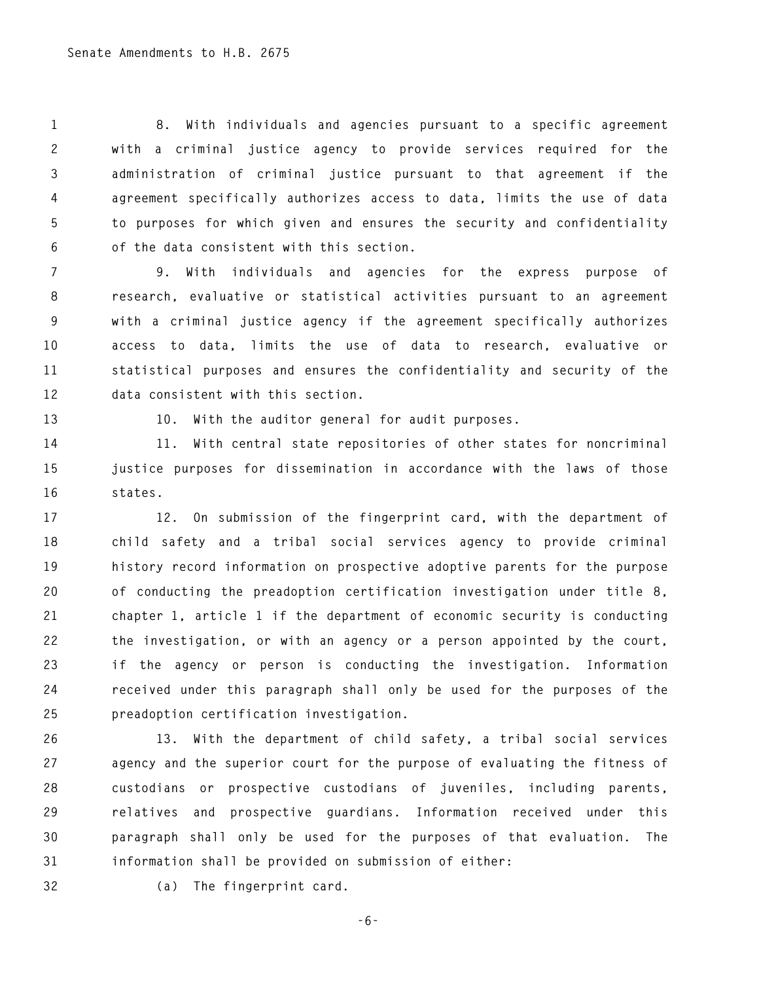**1 8. With individuals and agencies pursuant to a specific agreement 2 with a criminal justice agency to provide services required for the 3 administration of criminal justice pursuant to that agreement if the 4 agreement specifically authorizes access to data, limits the use of data 5 to purposes for which given and ensures the security and confidentiality 6 of the data consistent with this section.** 

**7 9. With individuals and agencies for the express purpose of 8 research, evaluative or statistical activities pursuant to an agreement 9 with a criminal justice agency if the agreement specifically authorizes 10 access to data, limits the use of data to research, evaluative or 11 statistical purposes and ensures the confidentiality and security of the 12 data consistent with this section.** 

**13 10. With the auditor general for audit purposes.** 

**14 11. With central state repositories of other states for noncriminal 15 justice purposes for dissemination in accordance with the laws of those 16 states.** 

**17 12. On submission of the fingerprint card, with the department of 18 child safety and a tribal social services agency to provide criminal 19 history record information on prospective adoptive parents for the purpose 20 of conducting the preadoption certification investigation under title 8, 21 chapter 1, article 1 if the department of economic security is conducting 22 the investigation, or with an agency or a person appointed by the court, 23 if the agency or person is conducting the investigation. Information 24 received under this paragraph shall only be used for the purposes of the 25 preadoption certification investigation.** 

**26 13. With the department of child safety, a tribal social services 27 agency and the superior court for the purpose of evaluating the fitness of 28 custodians or prospective custodians of juveniles, including parents, 29 relatives and prospective guardians. Information received under this 30 paragraph shall only be used for the purposes of that evaluation. The 31 information shall be provided on submission of either:** 

**32 (a) The fingerprint card.** 

**-6-**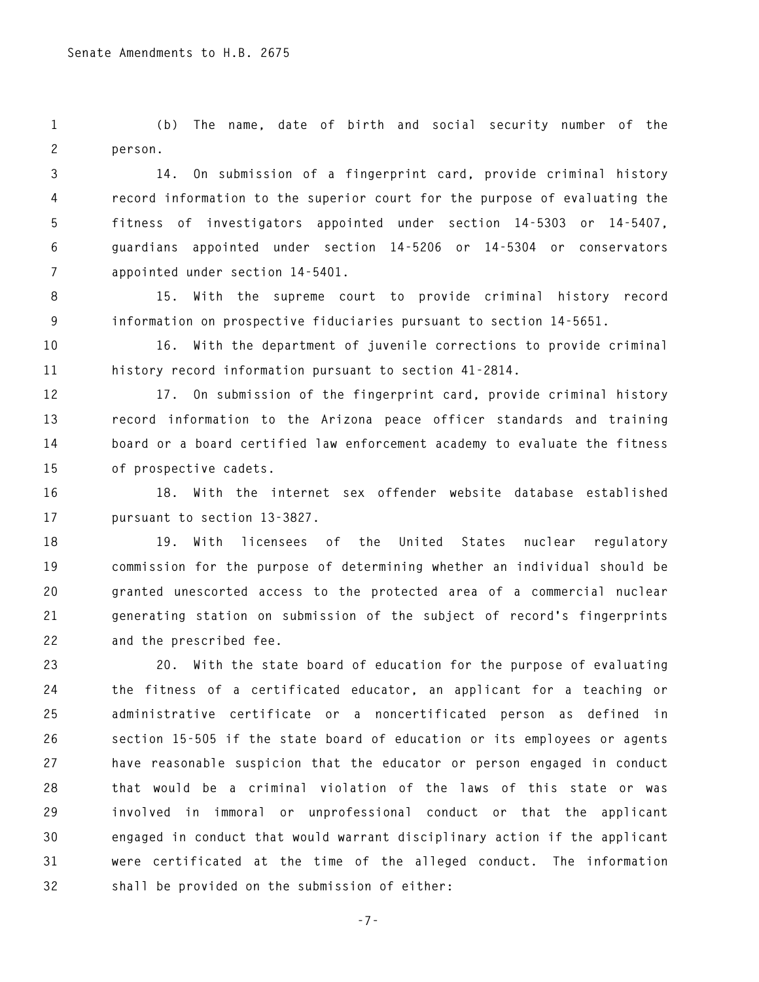**1 (b) The name, date of birth and social security number of the 2 person.** 

**3 14. On submission of a fingerprint card, provide criminal history 4 record information to the superior court for the purpose of evaluating the 5 fitness of investigators appointed under section 14-5303 or 14-5407, 6 guardians appointed under section 14-5206 or 14-5304 or conservators 7 appointed under section 14-5401.** 

**8 15. With the supreme court to provide criminal history record 9 information on prospective fiduciaries pursuant to section 14-5651.** 

**10 16. With the department of juvenile corrections to provide criminal 11 history record information pursuant to section 41-2814.** 

**12 17. On submission of the fingerprint card, provide criminal history 13 record information to the Arizona peace officer standards and training 14 board or a board certified law enforcement academy to evaluate the fitness 15 of prospective cadets.** 

**16 18. With the internet sex offender website database established 17 pursuant to section 13-3827.** 

**18 19. With licensees of the United States nuclear regulatory 19 commission for the purpose of determining whether an individual should be 20 granted unescorted access to the protected area of a commercial nuclear 21 generating station on submission of the subject of record's fingerprints 22 and the prescribed fee.** 

**23 20. With the state board of education for the purpose of evaluating 24 the fitness of a certificated educator, an applicant for a teaching or 25 administrative certificate or a noncertificated person as defined in 26 section 15-505 if the state board of education or its employees or agents 27 have reasonable suspicion that the educator or person engaged in conduct 28 that would be a criminal violation of the laws of this state or was 29 involved in immoral or unprofessional conduct or that the applicant 30 engaged in conduct that would warrant disciplinary action if the applicant 31 were certificated at the time of the alleged conduct. The information 32 shall be provided on the submission of either:** 

**-7-**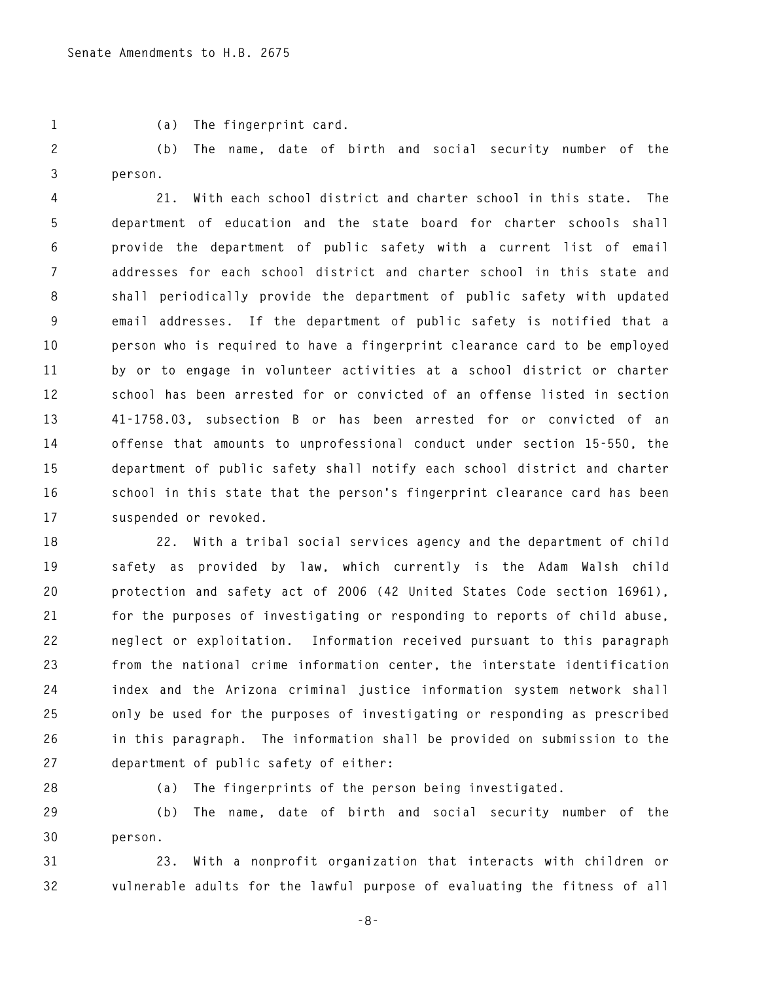**1 (a) The fingerprint card.** 

**2 (b) The name, date of birth and social security number of the 3 person.** 

**4 21. With each school district and charter school in this state. The 5 department of education and the state board for charter schools shall 6 provide the department of public safety with a current list of email 7 addresses for each school district and charter school in this state and 8 shall periodically provide the department of public safety with updated 9 email addresses. If the department of public safety is notified that a 10 person who is required to have a fingerprint clearance card to be employed 11 by or to engage in volunteer activities at a school district or charter 12 school has been arrested for or convicted of an offense listed in section 13 41-1758.03, subsection B or has been arrested for or convicted of an 14 offense that amounts to unprofessional conduct under section 15-550, the 15 department of public safety shall notify each school district and charter 16 school in this state that the person's fingerprint clearance card has been 17 suspended or revoked.** 

**18 22. With a tribal social services agency and the department of child 19 safety as provided by law, which currently is the Adam Walsh child 20 protection and safety act of 2006 (42 United States Code section 16961), 21 for the purposes of investigating or responding to reports of child abuse, 22 neglect or exploitation. Information received pursuant to this paragraph 23 from the national crime information center, the interstate identification 24 index and the Arizona criminal justice information system network shall 25 only be used for the purposes of investigating or responding as prescribed 26 in this paragraph. The information shall be provided on submission to the 27 department of public safety of either:** 

**28 (a) The fingerprints of the person being investigated.** 

**29 (b) The name, date of birth and social security number of the 30 person.** 

**31 23. With a nonprofit organization that interacts with children or 32 vulnerable adults for the lawful purpose of evaluating the fitness of all** 

**-8-**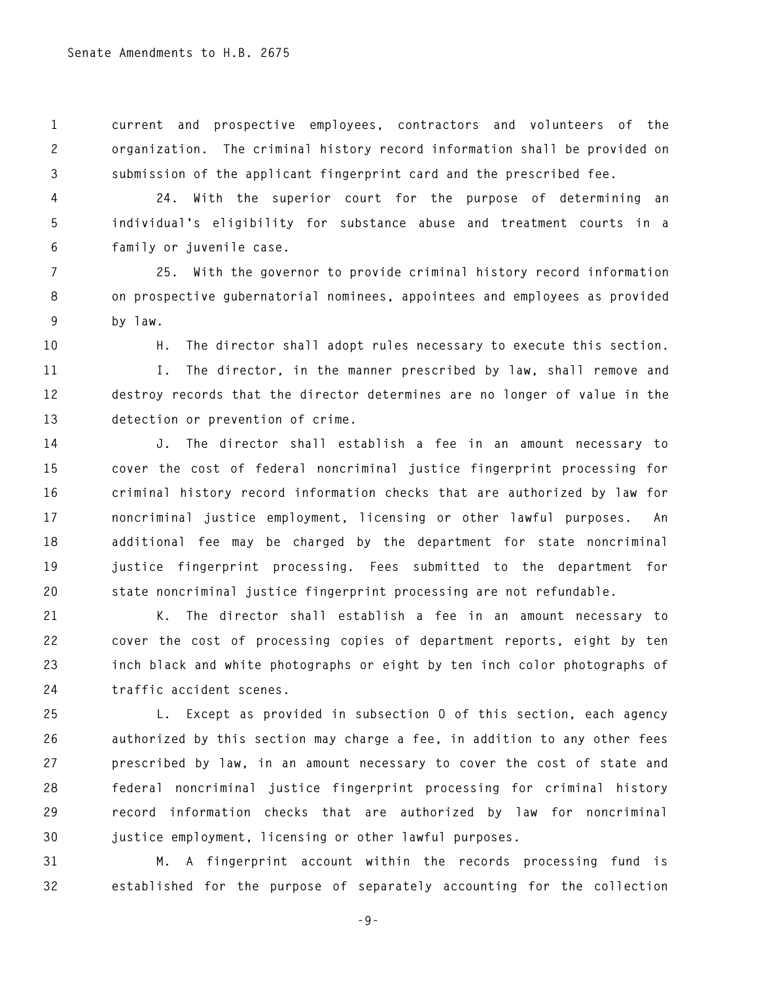**1 current and prospective employees, contractors and volunteers of the 2 organization. The criminal history record information shall be provided on 3 submission of the applicant fingerprint card and the prescribed fee.** 

**4 24. With the superior court for the purpose of determining an 5 individual's eligibility for substance abuse and treatment courts in a 6 family or juvenile case.** 

**7 25. With the governor to provide criminal history record information 8 on prospective gubernatorial nominees, appointees and employees as provided 9 by law.** 

**10 H. The director shall adopt rules necessary to execute this section.** 

**11 I. The director, in the manner prescribed by law, shall remove and 12 destroy records that the director determines are no longer of value in the 13 detection or prevention of crime.** 

**14 J. The director shall establish a fee in an amount necessary to 15 cover the cost of federal noncriminal justice fingerprint processing for 16 criminal history record information checks that are authorized by law for 17 noncriminal justice employment, licensing or other lawful purposes. An 18 additional fee may be charged by the department for state noncriminal 19 justice fingerprint processing. Fees submitted to the department for 20 state noncriminal justice fingerprint processing are not refundable.** 

**21 K. The director shall establish a fee in an amount necessary to 22 cover the cost of processing copies of department reports, eight by ten 23 inch black and white photographs or eight by ten inch color photographs of 24 traffic accident scenes.** 

**25 L. Except as provided in subsection O of this section, each agency 26 authorized by this section may charge a fee, in addition to any other fees 27 prescribed by law, in an amount necessary to cover the cost of state and 28 federal noncriminal justice fingerprint processing for criminal history 29 record information checks that are authorized by law for noncriminal 30 justice employment, licensing or other lawful purposes.** 

**31 M. A fingerprint account within the records processing fund is 32 established for the purpose of separately accounting for the collection** 

**-9-**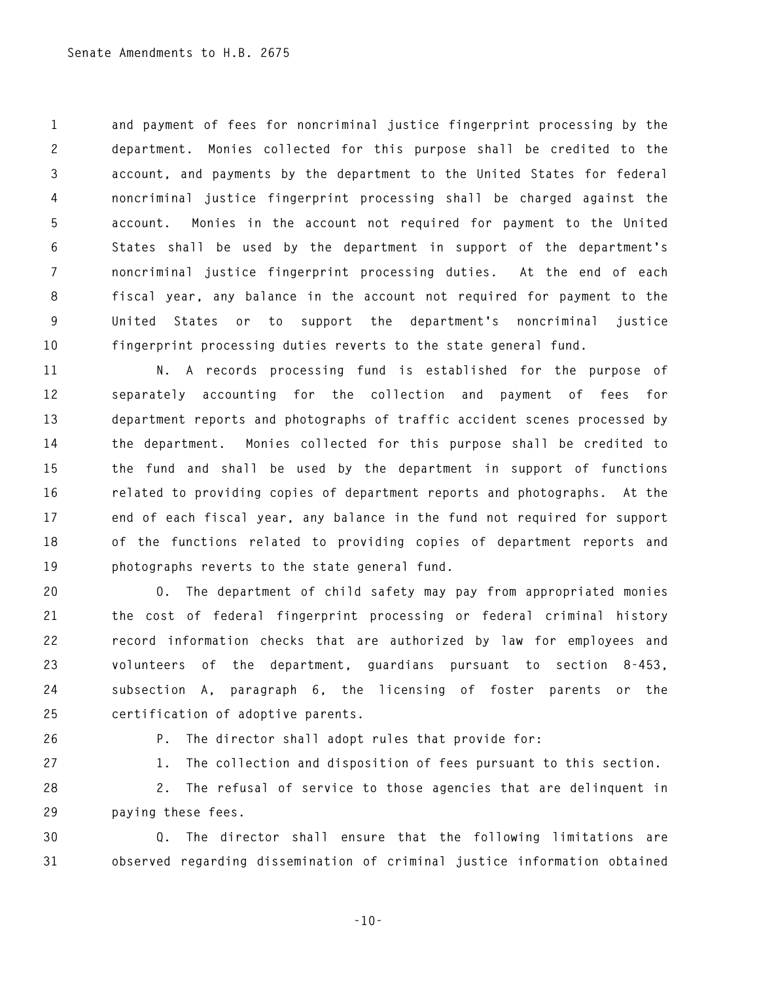**1 and payment of fees for noncriminal justice fingerprint processing by the 2 department. Monies collected for this purpose shall be credited to the 3 account, and payments by the department to the United States for federal 4 noncriminal justice fingerprint processing shall be charged against the 5 account. Monies in the account not required for payment to the United 6 States shall be used by the department in support of the department's 7 noncriminal justice fingerprint processing duties. At the end of each 8 fiscal year, any balance in the account not required for payment to the 9 United States or to support the department's noncriminal justice 10 fingerprint processing duties reverts to the state general fund.** 

**11 N. A records processing fund is established for the purpose of 12 separately accounting for the collection and payment of fees for 13 department reports and photographs of traffic accident scenes processed by 14 the department. Monies collected for this purpose shall be credited to 15 the fund and shall be used by the department in support of functions 16 related to providing copies of department reports and photographs. At the 17 end of each fiscal year, any balance in the fund not required for support 18 of the functions related to providing copies of department reports and 19 photographs reverts to the state general fund.** 

**20 O. The department of child safety may pay from appropriated monies 21 the cost of federal fingerprint processing or federal criminal history 22 record information checks that are authorized by law for employees and 23 volunteers of the department, guardians pursuant to section 8-453, 24 subsection A, paragraph 6, the licensing of foster parents or the 25 certification of adoptive parents.** 

**26 P. The director shall adopt rules that provide for:** 

**27 1. The collection and disposition of fees pursuant to this section.** 

**28 2. The refusal of service to those agencies that are delinquent in 29 paying these fees.** 

**30 Q. The director shall ensure that the following limitations are 31 observed regarding dissemination of criminal justice information obtained** 

**-10-**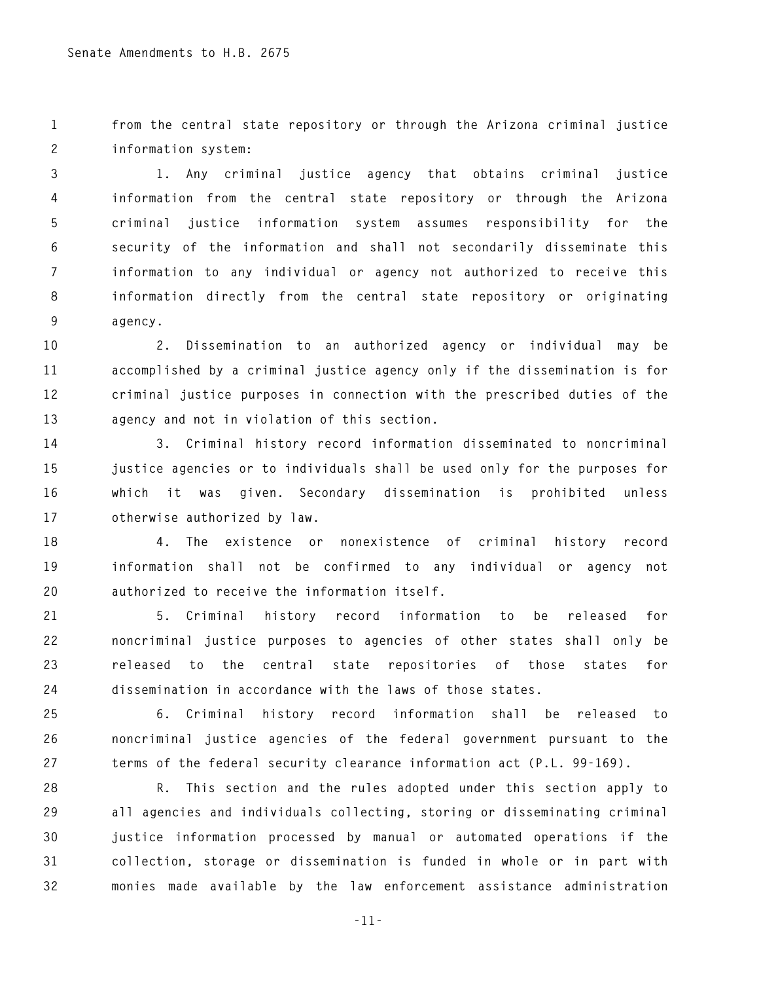**1 from the central state repository or through the Arizona criminal justice 2 information system:** 

**3 1. Any criminal justice agency that obtains criminal justice 4 information from the central state repository or through the Arizona 5 criminal justice information system assumes responsibility for the 6 security of the information and shall not secondarily disseminate this 7 information to any individual or agency not authorized to receive this 8 information directly from the central state repository or originating 9 agency.** 

**10 2. Dissemination to an authorized agency or individual may be 11 accomplished by a criminal justice agency only if the dissemination is for 12 criminal justice purposes in connection with the prescribed duties of the 13 agency and not in violation of this section.** 

**14 3. Criminal history record information disseminated to noncriminal 15 justice agencies or to individuals shall be used only for the purposes for 16 which it was given. Secondary dissemination is prohibited unless 17 otherwise authorized by law.** 

**18 4. The existence or nonexistence of criminal history record 19 information shall not be confirmed to any individual or agency not 20 authorized to receive the information itself.** 

**21 5. Criminal history record information to be released for 22 noncriminal justice purposes to agencies of other states shall only be 23 released to the central state repositories of those states for 24 dissemination in accordance with the laws of those states.** 

**25 6. Criminal history record information shall be released to 26 noncriminal justice agencies of the federal government pursuant to the 27 terms of the federal security clearance information act (P.L. 99-169).** 

**28 R. This section and the rules adopted under this section apply to 29 all agencies and individuals collecting, storing or disseminating criminal 30 justice information processed by manual or automated operations if the 31 collection, storage or dissemination is funded in whole or in part with 32 monies made available by the law enforcement assistance administration** 

**-11-**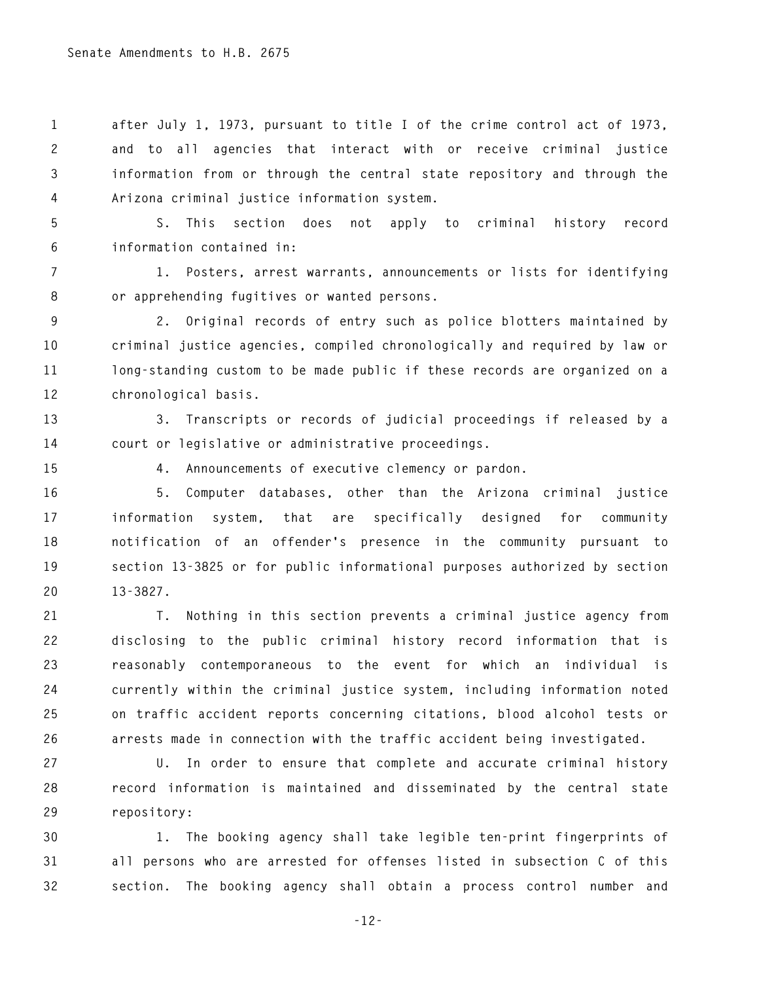**1 after July 1, 1973, pursuant to title I of the crime control act of 1973, 2 and to all agencies that interact with or receive criminal justice 3 information from or through the central state repository and through the 4 Arizona criminal justice information system.** 

**5 S. This section does not apply to criminal history record 6 information contained in:** 

**7 1. Posters, arrest warrants, announcements or lists for identifying 8 or apprehending fugitives or wanted persons.** 

**9 2. Original records of entry such as police blotters maintained by 10 criminal justice agencies, compiled chronologically and required by law or 11 long-standing custom to be made public if these records are organized on a 12 chronological basis.** 

**13 3. Transcripts or records of judicial proceedings if released by a 14 court or legislative or administrative proceedings.** 

**15 4. Announcements of executive clemency or pardon.** 

**16 5. Computer databases, other than the Arizona criminal justice 17 information system, that are specifically designed for community 18 notification of an offender's presence in the community pursuant to 19 section 13-3825 or for public informational purposes authorized by section 20 13-3827.** 

**21 T. Nothing in this section prevents a criminal justice agency from 22 disclosing to the public criminal history record information that is 23 reasonably contemporaneous to the event for which an individual is 24 currently within the criminal justice system, including information noted 25 on traffic accident reports concerning citations, blood alcohol tests or 26 arrests made in connection with the traffic accident being investigated.** 

**27 U. In order to ensure that complete and accurate criminal history 28 record information is maintained and disseminated by the central state 29 repository:** 

**30 1. The booking agency shall take legible ten-print fingerprints of 31 all persons who are arrested for offenses listed in subsection C of this 32 section. The booking agency shall obtain a process control number and** 

**-12-**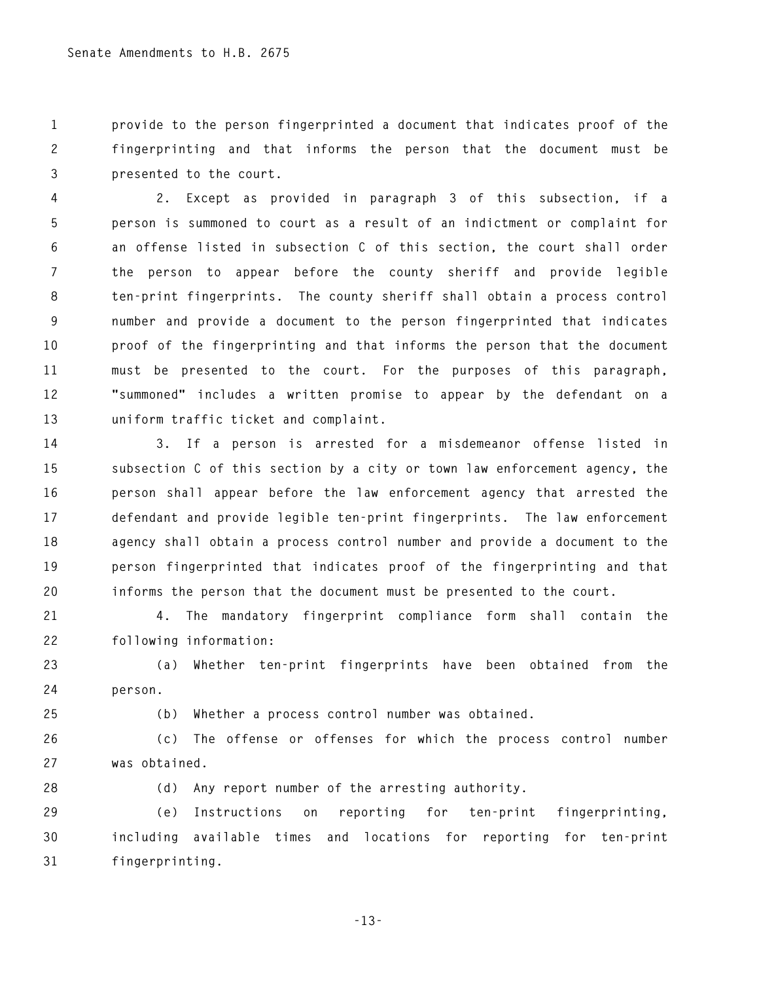**1 provide to the person fingerprinted a document that indicates proof of the 2 fingerprinting and that informs the person that the document must be 3 presented to the court.** 

**4 2. Except as provided in paragraph 3 of this subsection, if a 5 person is summoned to court as a result of an indictment or complaint for 6 an offense listed in subsection C of this section, the court shall order 7 the person to appear before the county sheriff and provide legible 8 ten-print fingerprints. The county sheriff shall obtain a process control 9 number and provide a document to the person fingerprinted that indicates 10 proof of the fingerprinting and that informs the person that the document 11 must be presented to the court. For the purposes of this paragraph, 12 "summoned" includes a written promise to appear by the defendant on a 13 uniform traffic ticket and complaint.** 

**14 3. If a person is arrested for a misdemeanor offense listed in 15 subsection C of this section by a city or town law enforcement agency, the 16 person shall appear before the law enforcement agency that arrested the 17 defendant and provide legible ten-print fingerprints. The law enforcement 18 agency shall obtain a process control number and provide a document to the 19 person fingerprinted that indicates proof of the fingerprinting and that 20 informs the person that the document must be presented to the court.** 

**21 4. The mandatory fingerprint compliance form shall contain the 22 following information:** 

**23 (a) Whether ten-print fingerprints have been obtained from the 24 person.** 

**25 (b) Whether a process control number was obtained.** 

**26 (c) The offense or offenses for which the process control number 27 was obtained.** 

**28 (d) Any report number of the arresting authority.** 

**29 (e) Instructions on reporting for ten-print fingerprinting, 30 including available times and locations for reporting for ten-print 31 fingerprinting.** 

**-13-**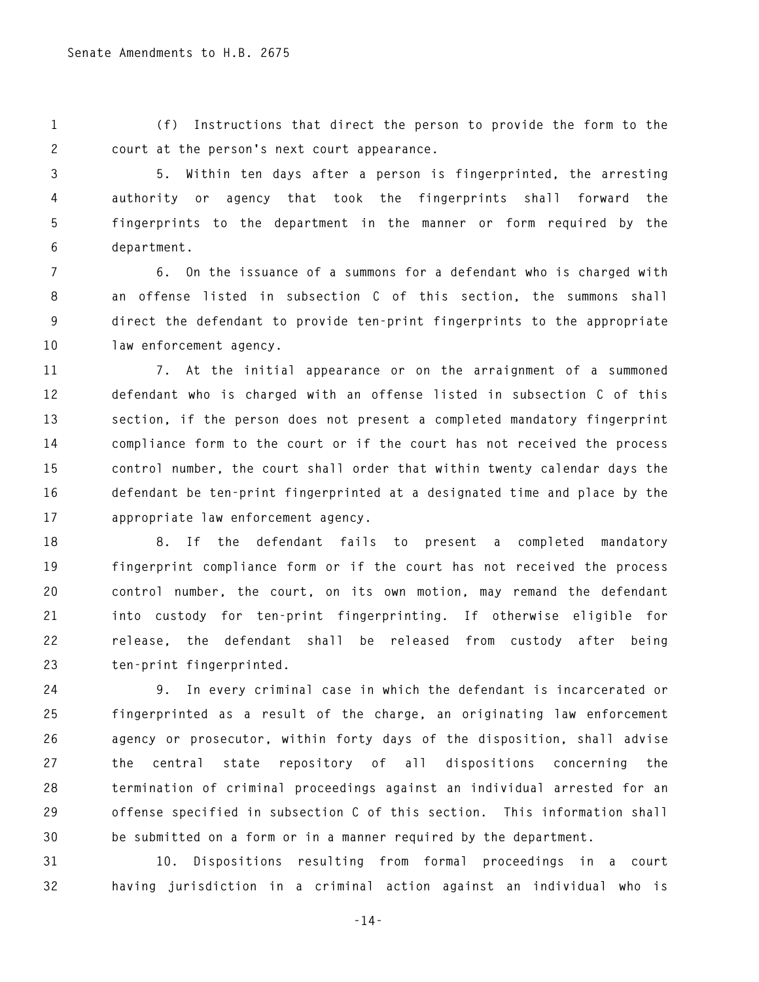**1 (f) Instructions that direct the person to provide the form to the 2 court at the person's next court appearance.** 

**3 5. Within ten days after a person is fingerprinted, the arresting 4 authority or agency that took the fingerprints shall forward the 5 fingerprints to the department in the manner or form required by the 6 department.** 

**7 6. On the issuance of a summons for a defendant who is charged with 8 an offense listed in subsection C of this section, the summons shall 9 direct the defendant to provide ten-print fingerprints to the appropriate 10 law enforcement agency.** 

**11 7. At the initial appearance or on the arraignment of a summoned 12 defendant who is charged with an offense listed in subsection C of this 13 section, if the person does not present a completed mandatory fingerprint 14 compliance form to the court or if the court has not received the process 15 control number, the court shall order that within twenty calendar days the 16 defendant be ten-print fingerprinted at a designated time and place by the 17 appropriate law enforcement agency.** 

**18 8. If the defendant fails to present a completed mandatory 19 fingerprint compliance form or if the court has not received the process 20 control number, the court, on its own motion, may remand the defendant 21 into custody for ten-print fingerprinting. If otherwise eligible for 22 release, the defendant shall be released from custody after being 23 ten-print fingerprinted.** 

**24 9. In every criminal case in which the defendant is incarcerated or 25 fingerprinted as a result of the charge, an originating law enforcement 26 agency or prosecutor, within forty days of the disposition, shall advise 27 the central state repository of all dispositions concerning the 28 termination of criminal proceedings against an individual arrested for an 29 offense specified in subsection C of this section. This information shall 30 be submitted on a form or in a manner required by the department.** 

**31 10. Dispositions resulting from formal proceedings in a court 32 having jurisdiction in a criminal action against an individual who is** 

**-14-**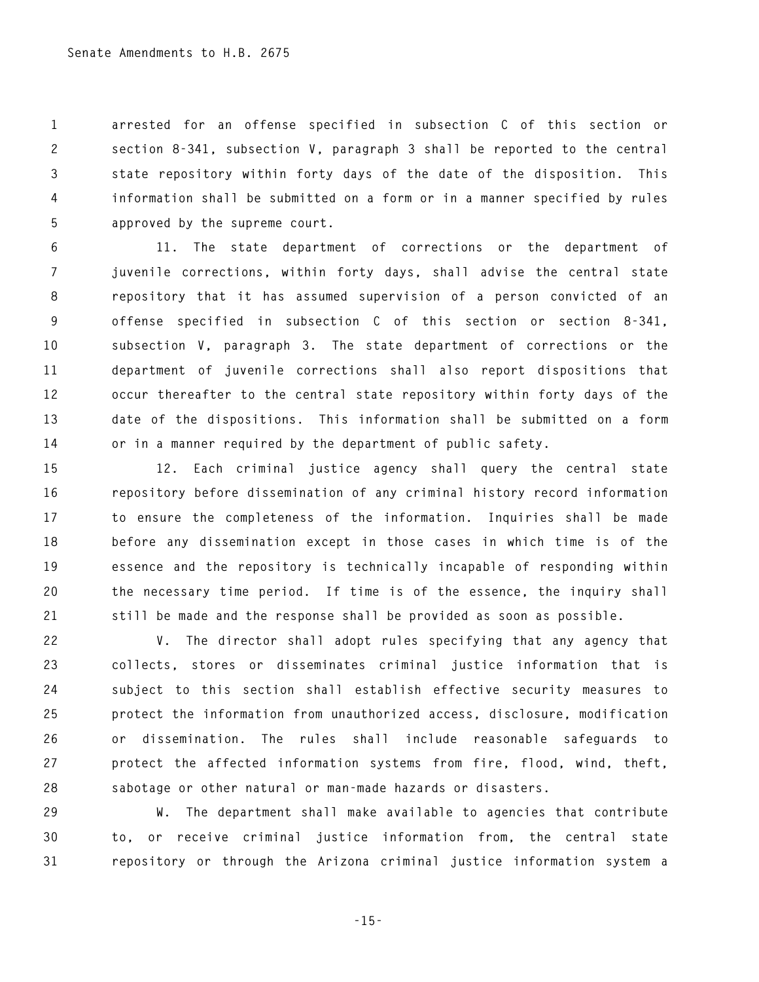**1 arrested for an offense specified in subsection C of this section or 2 section 8-341, subsection V, paragraph 3 shall be reported to the central 3 state repository within forty days of the date of the disposition. This 4 information shall be submitted on a form or in a manner specified by rules 5 approved by the supreme court.** 

**6 11. The state department of corrections or the department of 7 juvenile corrections, within forty days, shall advise the central state 8 repository that it has assumed supervision of a person convicted of an 9 offense specified in subsection C of this section or section 8-341, 10 subsection V, paragraph 3. The state department of corrections or the 11 department of juvenile corrections shall also report dispositions that 12 occur thereafter to the central state repository within forty days of the 13 date of the dispositions. This information shall be submitted on a form 14 or in a manner required by the department of public safety.** 

**15 12. Each criminal justice agency shall query the central state 16 repository before dissemination of any criminal history record information 17 to ensure the completeness of the information. Inquiries shall be made 18 before any dissemination except in those cases in which time is of the 19 essence and the repository is technically incapable of responding within 20 the necessary time period. If time is of the essence, the inquiry shall 21 still be made and the response shall be provided as soon as possible.** 

**22 V. The director shall adopt rules specifying that any agency that 23 collects, stores or disseminates criminal justice information that is 24 subject to this section shall establish effective security measures to 25 protect the information from unauthorized access, disclosure, modification 26 or dissemination. The rules shall include reasonable safeguards to 27 protect the affected information systems from fire, flood, wind, theft, 28 sabotage or other natural or man-made hazards or disasters.** 

**29 W. The department shall make available to agencies that contribute 30 to, or receive criminal justice information from, the central state 31 repository or through the Arizona criminal justice information system a** 

**-15-**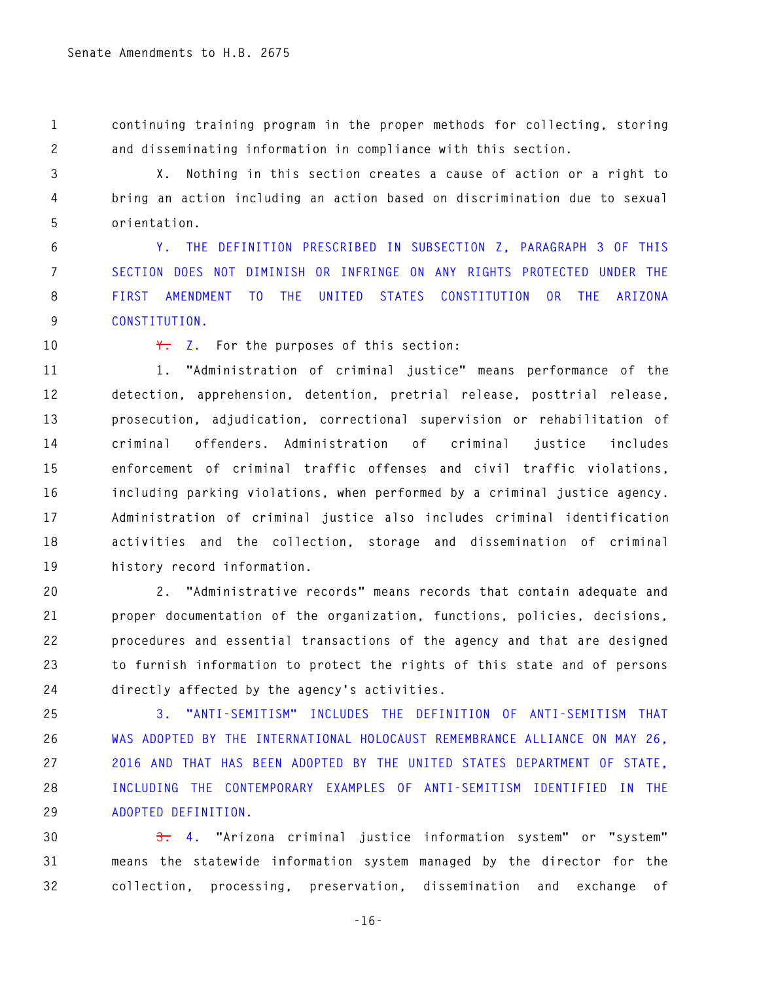**1 continuing training program in the proper methods for collecting, storing 2 and disseminating information in compliance with this section.** 

**3 X. Nothing in this section creates a cause of action or a right to 4 bring an action including an action based on discrimination due to sexual 5 orientation.** 

**6 Y. THE DEFINITION PRESCRIBED IN SUBSECTION Z, PARAGRAPH 3 OF THIS 7 SECTION DOES NOT DIMINISH OR INFRINGE ON ANY RIGHTS PROTECTED UNDER THE 8 FIRST AMENDMENT TO THE UNITED STATES CONSTITUTION OR THE ARIZONA 9 CONSTITUTION.** 

**10 Y. Z. For the purposes of this section:** 

**11 1. "Administration of criminal justice" means performance of the 12 detection, apprehension, detention, pretrial release, posttrial release, 13 prosecution, adjudication, correctional supervision or rehabilitation of 14 criminal offenders. Administration of criminal justice includes 15 enforcement of criminal traffic offenses and civil traffic violations, 16 including parking violations, when performed by a criminal justice agency. 17 Administration of criminal justice also includes criminal identification 18 activities and the collection, storage and dissemination of criminal 19 history record information.** 

**20 2. "Administrative records" means records that contain adequate and 21 proper documentation of the organization, functions, policies, decisions, 22 procedures and essential transactions of the agency and that are designed 23 to furnish information to protect the rights of this state and of persons 24 directly affected by the agency's activities.** 

**25 3. "ANTI-SEMITISM" INCLUDES THE DEFINITION OF ANTI-SEMITISM THAT 26 WAS ADOPTED BY THE INTERNATIONAL HOLOCAUST REMEMBRANCE ALLIANCE ON MAY 26, 27 2016 AND THAT HAS BEEN ADOPTED BY THE UNITED STATES DEPARTMENT OF STATE, 28 INCLUDING THE CONTEMPORARY EXAMPLES OF ANTI-SEMITISM IDENTIFIED IN THE 29 ADOPTED DEFINITION.** 

**30 3. 4. "Arizona criminal justice information system" or "system" 31 means the statewide information system managed by the director for the 32 collection, processing, preservation, dissemination and exchange of** 

**-16-**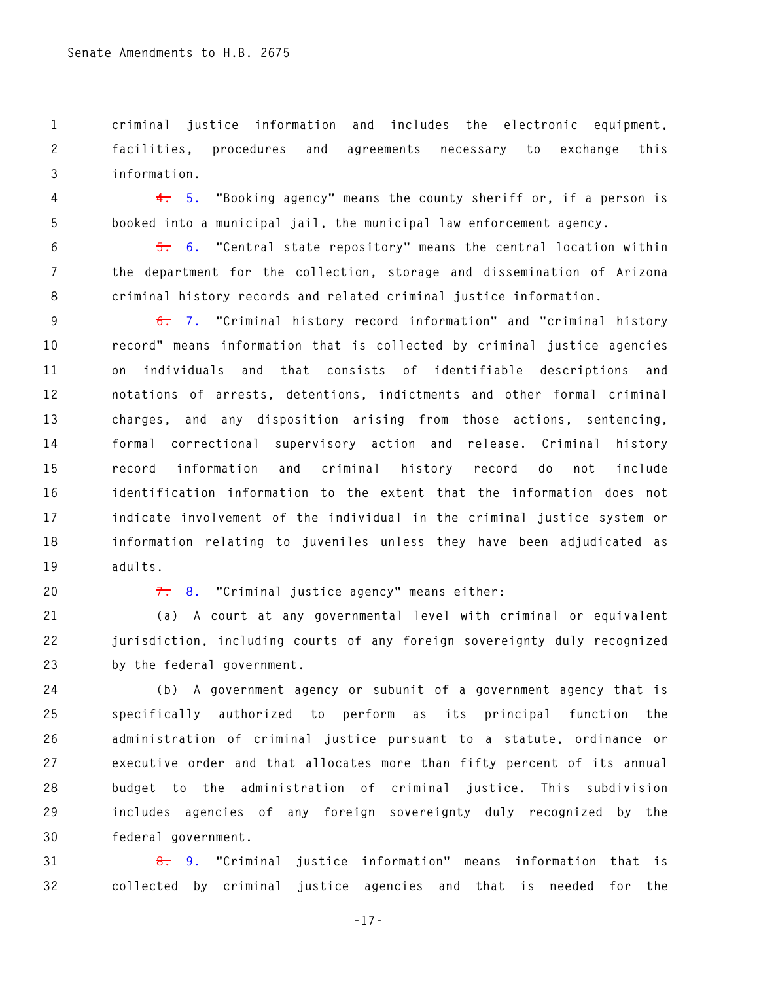**1 criminal justice information and includes the electronic equipment, 2 facilities, procedures and agreements necessary to exchange this 3 information.** 

**4 4. 5. "Booking agency" means the county sheriff or, if a person is 5 booked into a municipal jail, the municipal law enforcement agency.** 

**6 5. 6. "Central state repository" means the central location within 7 the department for the collection, storage and dissemination of Arizona 8 criminal history records and related criminal justice information.** 

**9 6. 7. "Criminal history record information" and "criminal history 10 record" means information that is collected by criminal justice agencies 11 on individuals and that consists of identifiable descriptions and 12 notations of arrests, detentions, indictments and other formal criminal 13 charges, and any disposition arising from those actions, sentencing, 14 formal correctional supervisory action and release. Criminal history 15 record information and criminal history record do not include 16 identification information to the extent that the information does not 17 indicate involvement of the individual in the criminal justice system or 18 information relating to juveniles unless they have been adjudicated as 19 adults.** 

**20 7. 8. "Criminal justice agency" means either:** 

**21 (a) A court at any governmental level with criminal or equivalent 22 jurisdiction, including courts of any foreign sovereignty duly recognized 23 by the federal government.** 

**24 (b) A government agency or subunit of a government agency that is 25 specifically authorized to perform as its principal function the 26 administration of criminal justice pursuant to a statute, ordinance or 27 executive order and that allocates more than fifty percent of its annual 28 budget to the administration of criminal justice. This subdivision 29 includes agencies of any foreign sovereignty duly recognized by the 30 federal government.** 

**31 8. 9. "Criminal justice information" means information that is 32 collected by criminal justice agencies and that is needed for the** 

**-17-**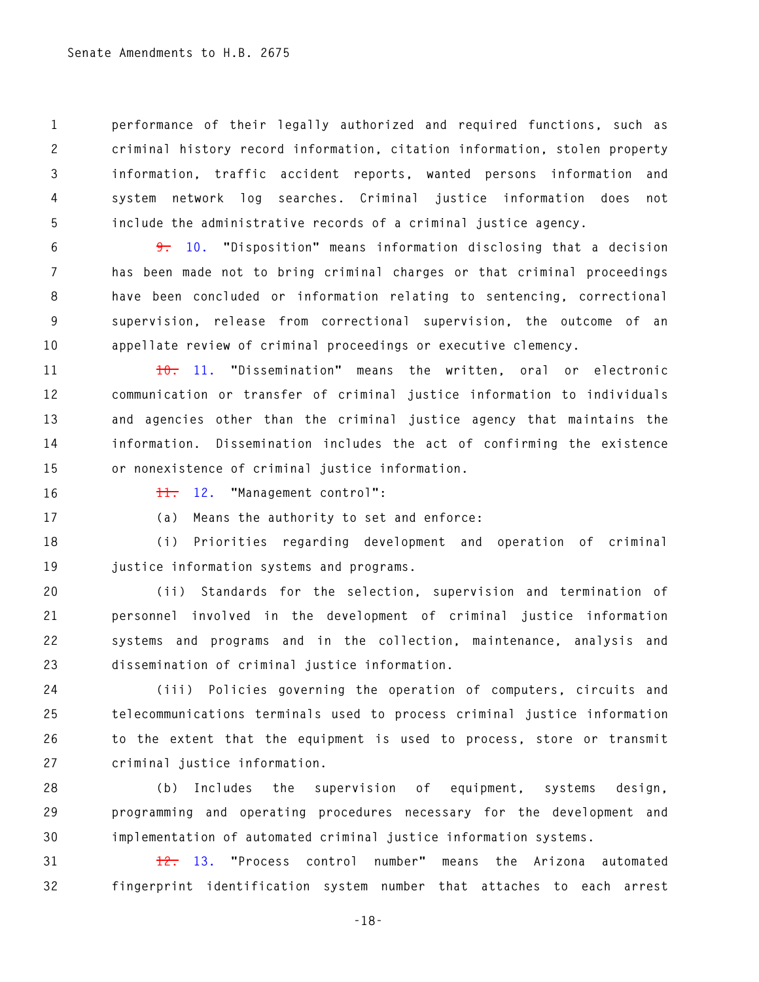**1 performance of their legally authorized and required functions, such as 2 criminal history record information, citation information, stolen property 3 information, traffic accident reports, wanted persons information and 4 system network log searches. Criminal justice information does not 5 include the administrative records of a criminal justice agency.** 

**6 9. 10. "Disposition" means information disclosing that a decision 7 has been made not to bring criminal charges or that criminal proceedings 8 have been concluded or information relating to sentencing, correctional 9 supervision, release from correctional supervision, the outcome of an 10 appellate review of criminal proceedings or executive clemency.** 

**11 10. 11. "Dissemination" means the written, oral or electronic 12 communication or transfer of criminal justice information to individuals 13 and agencies other than the criminal justice agency that maintains the 14 information. Dissemination includes the act of confirming the existence 15 or nonexistence of criminal justice information.** 

**16 11. 12. "Management control":** 

**17 (a) Means the authority to set and enforce:** 

**18 (i) Priorities regarding development and operation of criminal 19 justice information systems and programs.** 

**20 (ii) Standards for the selection, supervision and termination of 21 personnel involved in the development of criminal justice information 22 systems and programs and in the collection, maintenance, analysis and 23 dissemination of criminal justice information.** 

**24 (iii) Policies governing the operation of computers, circuits and 25 telecommunications terminals used to process criminal justice information 26 to the extent that the equipment is used to process, store or transmit 27 criminal justice information.** 

**28 (b) Includes the supervision of equipment, systems design, 29 programming and operating procedures necessary for the development and 30 implementation of automated criminal justice information systems.** 

**31 12. 13. "Process control number" means the Arizona automated 32 fingerprint identification system number that attaches to each arrest** 

**-18-**